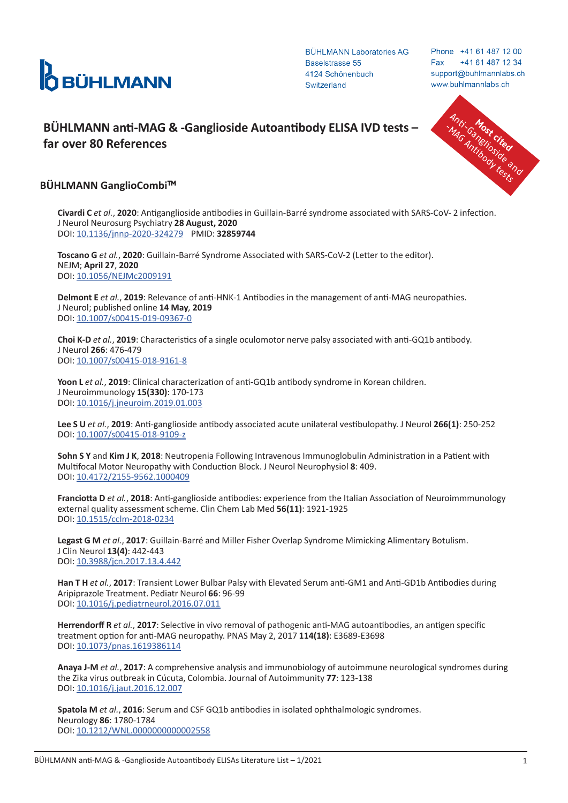

Phone +41 61 487 12 00 +41 61 487 12 34 Fax support@buhlmannlabs.ch www.buhlmannlabs.ch

# **BÜHLMANN anti-MAG & -Ganglioside Autoantibody ELISA IVD tests – Anti-Canadian Control of the control of the control of the control of the control of the control of the control of the control of the control of the control**



## **BÜHLMANN GanglioCombi**™

**Civardi C** *et al.*, **2020**: Antiganglioside antibodies in Guillain-Barré syndrome associated with SARS-CoV- 2 infection. J Neurol Neurosurg Psychiatry **28 August, 2020** DOI: [10.1136/jnnp-2020-324279](https://jnnp.bmj.com/content/early/2020/08/28/jnnp-2020-324279) PMID: **32859744**

**Toscano G** *et al.*, **2020**: Guillain-Barré Syndrome Associated with SARS-CoV-2 (Letter to the editor). NEJM; **April 27**, **2020** DOI: [10.1056/NEJMc2009191](https://www.nejm.org/doi/10.1056/NEJMc2009191)

**Delmont E** *et al.*, **2019**: Relevance of anti-HNK-1 Antibodies in the management of anti-MAG neuropathies. J Neurol; published online **14 May***,* **2019** DOI: [10.1007/s00415-019-09367-0](https://link.springer.com/article/10.1007%2Fs00415-019-09367-0)

**Choi K-D** *et al.*, **2019**: Characteristics of a single oculomotor nerve palsy associated with anti-GQ1b antibody. J Neurol **266**: 476-479 DOI: [10.1007/s00415-018-9161-8](https://link.springer.com/article/10.1007%2Fs00415-018-9161-8)

**Yoon L** *et al.*, **2019**: Clinical characterization of anti-GQ1b antibody syndrome in Korean children. J Neuroimmunology **15(330)**: 170-173 DOI: [10.1016/j.jneuroim.2019.01.003](https://www.sciencedirect.com/science/article/pii/S0165572819300086?via%3Dihub)

**Lee S U** *et al.*, **2019**: Anti-ganglioside antibody associated acute unilateral vestibulopathy. J Neurol **266(1)**: 250-252 DOI: [10.1007/s00415-018-9109-z](https://link.springer.com/article/10.1007%2Fs00415-018-9109-z)

**Sohn S Y** and **Kim J K**, **2018**: Neutropenia Following Intravenous Immunoglobulin Administration in a Patient with Multifocal Motor Neuropathy with Conduction Block. J Neurol Neurophysiol **8**: 409. DOI: [10.4172/2155-9562.1000409](https://www.iomcworld.org/open-access/neutropenia-following-intravenous-immunoglobulin-administration-in-a-patient-with-multifocal-motor-neuropathy-with-conduction-bloc-2155-9562-1000409.pdf)

**Franciotta D** *et al.*, **2018**: Anti-ganglioside antibodies: experience from the Italian Association of Neuroimmmunology external quality assessment scheme. Clin Chem Lab Med **56(11)**: 1921-1925 DOI: [10.1515/cclm-2018-0234](https://www.degruyter.com/view/journals/cclm/56/11/article-p1921.xml)

**Legast G M** *et al.*, **2017**: Guillain-Barré and Miller Fisher Overlap Syndrome Mimicking Alimentary Botulism. J Clin Neurol **13(4)**: 442-443 DOI: [10.3988/jcn.2017.13.4.442](https://www.thejcn.com/DOIx.php?id=10.3988/jcn.2017.13.4.442)

**Han T H** *et al.*, **2017**: Transient Lower Bulbar Palsy with Elevated Serum anti-GM1 and Anti-GD1b Antibodies during Aripiprazole Treatment. Pediatr Neurol **66**: 96-99 DOI: [10.1016/j.pediatrneurol.2016.07.011](https://www.sciencedirect.com/science/article/pii/S0887899416302223?via%3Dihub)

**Herrendorff R** *et al.*, **2017**: Selective in vivo removal of pathogenic anti-MAG autoantibodies, an antigen specific treatment option for anti-MAG neuropathy. PNAS May 2, 2017 **114(18)**: E3689-E3698 DOI: [10.1073/pnas.1619386114](https://www.pnas.org/content/114/18/E3689)

**Anaya J-M** *et al.*, **2017**: A comprehensive analysis and immunobiology of autoimmune neurological syndromes during the Zika virus outbreak in Cúcuta, Colombia. Journal of Autoimmunity **77**: 123-138 DOI: [10.1016/j.jaut.2016.12.007](https://www.sciencedirect.com/science/article/pii/S0896841116303122?via%3Dihub)

**Spatola M** *et al.*, **2016**: Serum and CSF GQ1b antibodies in isolated ophthalmologic syndromes. Neurology **86**: 1780-1784 DOI: [10.1212/WNL.0000000000002558](https://n.neurology.org/content/86/19/1780)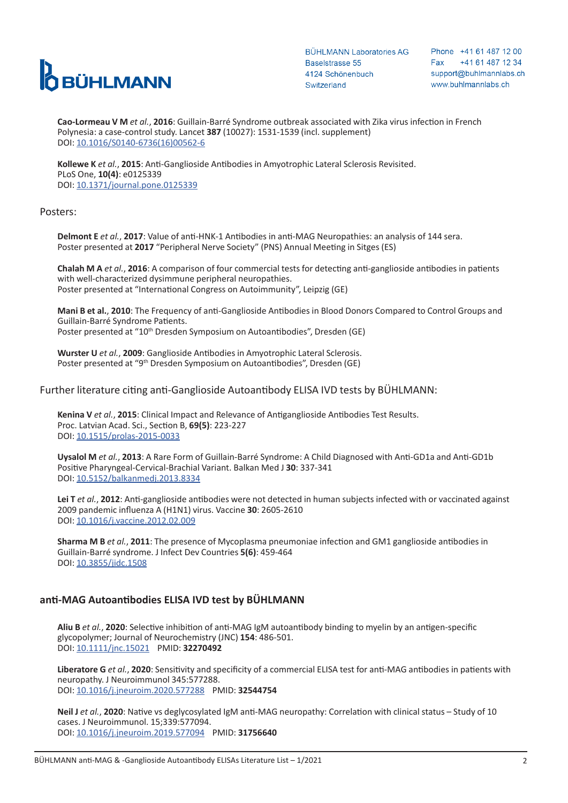

Phone +41 61 487 12 00 +41 61 487 12 34 Fax support@buhlmannlabs.ch www.buhlmannlabs.ch

**Cao-Lormeau V M** *et al.*, **2016**: Guillain-Barré Syndrome outbreak associated with Zika virus infection in French Polynesia: a case-control study. Lancet **387** (10027): 1531-1539 (incl. supplement) DOI: [10.1016/S0140-6736\(16\)00562-6](https://www.sciencedirect.com/science/article/pii/S0140673616005626?via%3Dihub)

**Kollewe K** *et al.*, **2015**: Anti-Ganglioside Antibodies in Amyotrophic Lateral Sclerosis Revisited. PLoS One, **10(4)**: e0125339 DOI: [10.1371/journal.pone.0125339](https://journals.plos.org/plosone/article?id=10.1371/journal.pone.0125339)

### Posters:

**Delmont E** *et al.*, **2017**: Value of anti-HNK-1 Antibodies in anti-MAG Neuropathies: an analysis of 144 sera. Poster presented at **2017** "Peripheral Nerve Society" (PNS) Annual Meeting in Sitges (ES)

**Chalah M A** *et al.*, **2016**: A comparison of four commercial tests for detecting anti-ganglioside antibodies in patients with well-characterized dysimmune peripheral neuropathies. Poster presented at "International Congress on Autoimmunity", Leipzig (GE)

**Mani B et al.**, **2010**: The Frequency of anti-Ganglioside Antibodies in Blood Donors Compared to Control Groups and Guillain-Barré Syndrome Patients. Poster presented at "10th Dresden Symposium on Autoantibodies", Dresden (GE)

**Wurster U** *et al.*, **2009**: Ganglioside Antibodies in Amyotrophic Lateral Sclerosis. Poster presented at "9<sup>th</sup> Dresden Symposium on Autoantibodies", Dresden (GE)

### Further literature citing anti-Ganglioside Autoantibody ELISA IVD tests by BÜHLMANN:

**Kenina V** *et al.*, **2015**: Clinical Impact and Relevance of Antiganglioside Antibodies Test Results. Proc. Latvian Acad. Sci., Section B, **69(5)**: 223-227 DOI: [10.1515/prolas-2015-0033](https://content.sciendo.com/configurable/contentpage/journals$002fprolas$002f69$002f5$002farticle-p223.xml)

**Uysalol M** *et al.*, **2013**: A Rare Form of Guillain-Barré Syndrome: A Child Diagnosed with Anti-GD1a and Anti-GD1b Positive Pharyngeal-Cervical-Brachial Variant. Balkan Med J **30**: 337-341 DOI: [10.5152/balkanmedj.2013.8334](http://www.balkanmedicaljournal.org/uploads/pdf/pdf_BMJ_378.pdf)

**Lei T** *et al.*, **2012**: Anti-ganglioside antibodies were not detected in human subjects infected with or vaccinated against 2009 pandemic influenza A (H1N1) virus. Vaccine **30**: 2605-2610 DOI: [10.1016/j.vaccine.2012.02.009](https://www.sciencedirect.com/science/article/pii/S0264410X12001740?via%3Dihub)

**Sharma M B** *et al.*, **2011**: The presence of Mycoplasma pneumoniae infection and GM1 ganglioside antibodies in Guillain-Barré syndrome. J Infect Dev Countries **5(6)**: 459-464 DOI: [10.3855/jidc.1508](https://jidc.org/index.php/journal/article/view/21727645)

## **anti-MAG Autoantibodies ELISA IVD test by BÜHLMANN**

**Aliu B** *et al.*, **2020**: Selective inhibition of anti-MAG IgM autoantibody binding to myelin by an antigen-specific glycopolymer; Journal of Neurochemistry (JNC) **154**: 486-501. DOI: [10.1111/jnc.15021](https://www.ncbi.nlm.nih.gov/pmc/articles/PMC7497077/pdf/JNC-154-486.pdf) PMID: **32270492**

**Liberatore G** *et al.*, **2020**: Sensitivity and specificity of a commercial ELISA test for anti-MAG antibodies in patients with neuropathy. J Neuroimmunol 345:577288. DOI: [10.1016/j.jneuroim.2020.577288](https://www.sciencedirect.com/science/article/pii/S0165572820301922?via%3Dihub) PMID: **32544754**

**Neil J** *et al.*, **2020**: Native vs deglycosylated IgM anti-MAG neuropathy: Correlation with clinical status – Study of 10 cases. J Neuroimmunol. 15;339:577094. DOI: [10.1016/j.jneuroim.2019.577094](https://www.sciencedirect.com/science/article/pii/S0165572819304138?via%3Dihub) PMID: **31756640**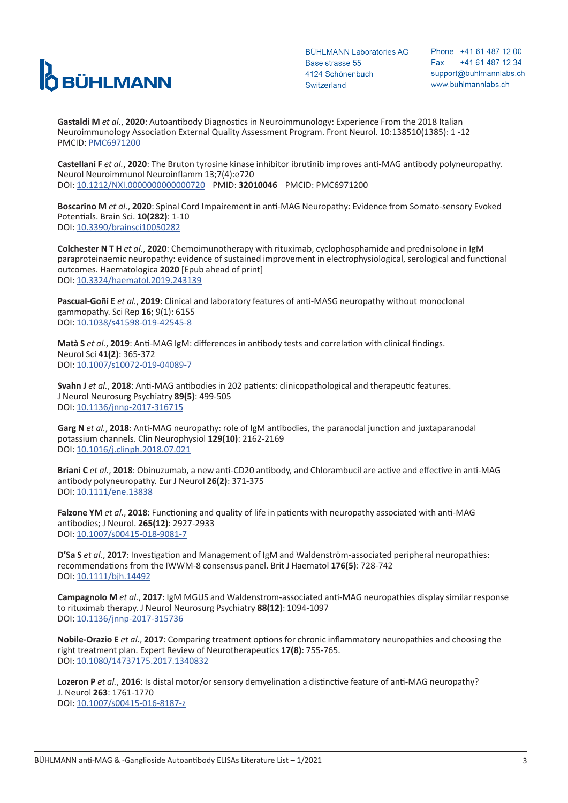

Phone +41 61 487 12 00 +41 61 487 12 34 Fax support@buhlmannlabs.ch www.buhlmannlabs.ch

**Gastaldi M** *et al.*, **2020**: Autoantibody Diagnostics in Neuroimmunology: Experience From the 2018 Italian Neuroimmunology Association External Quality Assessment Program. Front Neurol. 10:138510(1385): 1 -12 PMCID: [PMC6971200](https://www.ncbi.nlm.nih.gov/pmc/articles/PMC6971200/)

**Castellani F** *et al.*, **2020**: The Bruton tyrosine kinase inhibitor ibrutinib improves anti-MAG antibody polyneuropathy. Neurol Neuroimmunol Neuroinflamm 13;7(4):e720 DOI: [10.1212/NXI.0000000000000720](https://nn.neurology.org/content/7/4/e720) PMID: **32010046** PMCID: PMC6971200

**Boscarino M** *et al.*, **2020**: Spinal Cord Impairement in anti-MAG Neuropathy: Evidence from Somato-sensory Evoked Potentials. Brain Sci. **10(282)**: 1-10 DOI: [10.3390/brainsci10050282](https://www.mdpi.com/2076-3425/10/5/282)

**Colchester N T H** *et al.*, **2020**: Chemoimunotherapy with rituximab, cyclophosphamide and prednisolone in IgM paraproteinaemic neuropathy: evidence of sustained improvement in electrophysiological, serological and functional outcomes. Haematologica **2020** [Epub ahead of print] DOI: [10.3324/haematol.2019.243139](https://haematologica.org/article/view/9733)

**Pascual-Goñi E** *et al.*, **2019**: Clinical and laboratory features of anti-MASG neuropathy without monoclonal gammopathy. Sci Rep **16**; 9(1): 6155 DOI: [10.1038/s41598-019-42545-8](https://www.nature.com/articles/s41598-019-42545-8)

**Matà S** *et al.*, **2019**: Anti-MAG IgM: differences in antibody tests and correlation with clinical findings. Neurol Sci **41(2)**: 365-372 DOI: [10.1007/s10072-019-04089-7](https://link.springer.com/article/10.1007%2Fs10072-019-04089-7)

**Svahn J** *et al.*, **2018**: Anti-MAG antibodies in 202 patients: clinicopathological and therapeutic features. J Neurol Neurosurg Psychiatry **89(5)**: 499-505 DOI: [10.1136/jnnp-2017-316715](https://jnnp.bmj.com/content/89/5/499)

**Garg N** *et al.*, **2018**: Anti-MAG neuropathy: role of IgM antibodies, the paranodal junction and juxtaparanodal potassium channels. Clin Neurophysiol **129(10)**: 2162-2169 DOI: [10.1016/j.clinph.2018.07.021](https://www.sciencedirect.com/science/article/pii/S1388245718311829?via%3Dihub)

**Briani C** *et al.*, **2018**: Obinuzumab, a new anti-CD20 antibody, and Chlorambucil are active and effective in anti-MAG antibody polyneuropathy. Eur J Neurol **26(2)**: 371-375 DOI: [10.1111/ene.13838](https://onlinelibrary.wiley.com/doi/abs/10.1111/ene.13838)

**Falzone YM** *et al.*, **2018**: Functioning and quality of life in patients with neuropathy associated with anti-MAG antibodies; J Neurol. **265(12)**: 2927-2933 DOI: [10.1007/s00415-018-9081-7](https://link.springer.com/article/10.1007%2Fs00415-018-9081-7)

**D'Sa S** *et al.*, **2017**: Investigation and Management of IgM and Waldenström-associated peripheral neuropathies: recommendations from the IWWM-8 consensus panel. Brit J Haematol **176(5)**: 728-742 DOI: [10.1111/bjh.14492](https://onlinelibrary.wiley.com/doi/full/10.1111/bjh.14492)

**Campagnolo M** *et al.*, **2017**: IgM MGUS and Waldenstrom-associated anti-MAG neuropathies display similar response to rituximab therapy. J Neurol Neurosurg Psychiatry **88(12)**: 1094-1097 DOI: [10.1136/jnnp-2017-315736](https://jnnp.bmj.com/content/88/12/1094)

**Nobile-Orazio E** *et al.*, **2017**: Comparing treatment options for chronic inflammatory neuropathies and choosing the right treatment plan. Expert Review of Neurotherapeutics **17(8)**: 755-765. DOI: [10.1080/14737175.2017.1340832](https://www.tandfonline.com/doi/full/10.1080/14737175.2017.1340832)

**Lozeron P** *et al.*, **2016**: Is distal motor/or sensory demyelination a distinctive feature of anti-MAG neuropathy? J. Neurol **263**: 1761-1770 DOI: [10.1007/s00415-016-8187-z](https://link.springer.com/article/10.1007%2Fs00415-016-8187-z)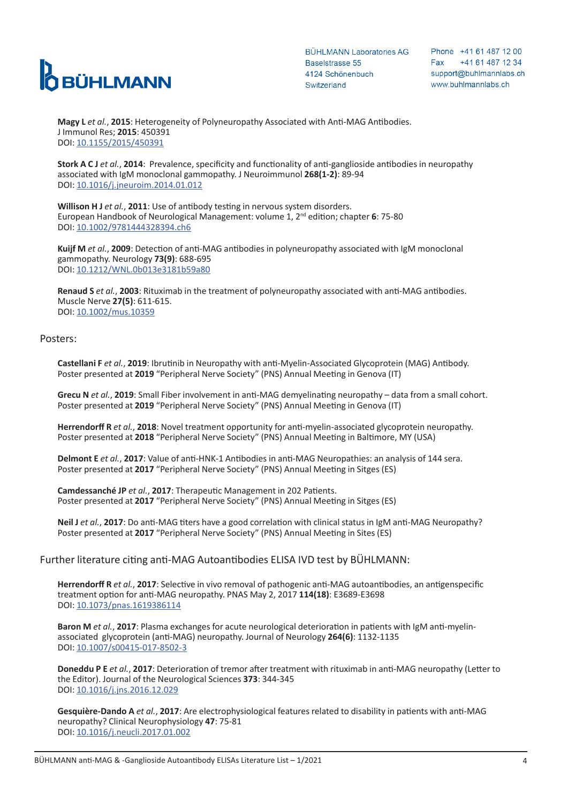

Phone +41 61 487 12 00 +41 61 487 12 34 Fax support@buhlmannlabs.ch www.buhlmannlabs.ch

**Magy L** *et al.*, **2015**: Heterogeneity of Polyneuropathy Associated with Anti-MAG Antibodies. J Immunol Res; **2015**: 450391 DOI: [10.1155/2015/450391](https://www.hindawi.com/journals/jir/2015/450391/)

**Stork A C J** *et al.*, **2014**: Prevalence, specificity and functionality of anti-ganglioside antibodies in neuropathy associated with IgM monoclonal gammopathy. J Neuroimmunol **268(1-2)**: 89-94 DOI: [10.1016/j.jneuroim.2014.01.012](https://www.sciencedirect.com/science/article/pii/S0165572814000290?via%3Dihub)

**Willison H J** *et al.*, **2011**: Use of antibody testing in nervous system disorders. European Handbook of Neurological Management: volume 1, 2nd edition; chapter **6**: 75-80 DOI: [10.1002/9781444328394.ch6](https://onlinelibrary.wiley.com/doi/abs/10.1002/9781444328394.ch6)

**Kuijf M** *et al.*, **2009**: Detection of anti-MAG antibodies in polyneuropathy associated with IgM monoclonal gammopathy. Neurology **73(9)**: 688-695 DOI: [10.1212/WNL.0b013e3181b59a80](https://n.neurology.org/content/73/9/688)

**Renaud S** *et al.*, **2003**: Rituximab in the treatment of polyneuropathy associated with anti-MAG antibodies. Muscle Nerve **27(5)**: 611-615. DOI: [10.1002/mus.10359](https://onlinelibrary.wiley.com/doi/abs/10.1002/mus.10359)

#### Posters:

**Castellani F** *et al.*, **2019**: Ibrutinib in Neuropathy with anti-Myelin-Associated Glycoprotein (MAG) Antibody. Poster presented at **2019** "Peripheral Nerve Society" (PNS) Annual Meeting in Genova (IT)

**Grecu N** *et al.*, **2019**: Small Fiber involvement in anti-MAG demyelinating neuropathy – data from a small cohort. Poster presented at **2019** "Peripheral Nerve Society" (PNS) Annual Meeting in Genova (IT)

**Herrendorff R** *et al.*, **2018**: Novel treatment opportunity for anti-myelin-associated glycoprotein neuropathy. Poster presented at **2018** "Peripheral Nerve Society" (PNS) Annual Meeting in Baltimore, MY (USA)

**Delmont E** *et al.*, **2017**: Value of anti-HNK-1 Antibodies in anti-MAG Neuropathies: an analysis of 144 sera. Poster presented at **2017** "Peripheral Nerve Society" (PNS) Annual Meeting in Sitges (ES)

**Camdessanché JP** *et al.*, **2017**: Therapeutic Management in 202 Patients. Poster presented at **2017** "Peripheral Nerve Society" (PNS) Annual Meeting in Sitges (ES)

**Neil J** *et al.*, **2017**: Do anti-MAG titers have a good correlation with clinical status in IgM anti-MAG Neuropathy? Poster presented at **2017** "Peripheral Nerve Society" (PNS) Annual Meeting in Sites (ES)

## Further literature citing anti-MAG Autoantibodies ELISA IVD test by BÜHLMANN:

**Herrendorff R** *et al.*, **2017**: Selective in vivo removal of pathogenic anti-MAG autoantibodies, an antigenspecific treatment option for anti-MAG neuropathy. PNAS May 2, 2017 **114(18)**: E3689-E3698 DOI: [10.1073/pnas.1619386114](https://www.pnas.org/content/114/18/E3689)

**Baron M** *et al.*, **2017**: Plasma exchanges for acute neurological deterioration in patients with IgM anti-myelinassociated glycoprotein (anti-MAG) neuropathy. Journal of Neurology **264(6)**: 1132-1135 DOI: [10.1007/s00415-017-8502-3](https://link.springer.com/article/10.1007/s00415-017-8502-3)

**Doneddu P E** *et al.*, **2017**: Deterioration of tremor after treatment with rituximab in anti-MAG neuropathy (Letter to the Editor). Journal of the Neurological Sciences **373**: 344-345 DOI: [10.1016/j.jns.2016.12.029](https://www.sciencedirect.com/science/article/pii/S0022510X1630822X?via%3Dihub)

**Gesquière-Dando A** *et al.*, **2017**: Are electrophysiological features related to disability in patients with anti-MAG neuropathy? Clinical Neurophysiology **47**: 75-81 DOI: [10.1016/j.neucli.2017.01.002](https://www.sciencedirect.com/science/article/pii/S0987705316302052?via%3Dihub)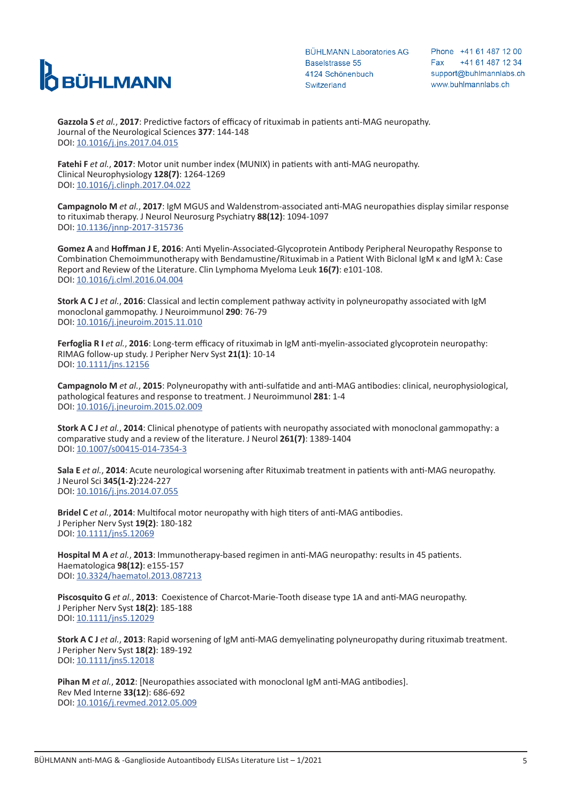

Phone +41 61 487 12 00 +41 61 487 12 34 Fax support@buhlmannlabs.ch www.buhlmannlabs.ch

**Gazzola S** *et al.*, **2017**: Predictive factors of efficacy of rituximab in patients anti-MAG neuropathy. Journal of the Neurological Sciences **377**: 144-148 DOI: [10.1016/j.jns.2017.04.015](https://www.sciencedirect.com/science/article/pii/S0022510X17302502?via%3Dihub)

**Fatehi F** *et al.*, **2017**: Motor unit number index (MUNIX) in patients with anti-MAG neuropathy. Clinical Neurophysiology **128(7)**: 1264-1269 DOI: [10.1016/j.clinph.2017.04.022](https://www.sciencedirect.com/science/article/pii/S1388245717301773?via%3Dihub)

**Campagnolo M** *et al.*, **2017**: IgM MGUS and Waldenstrom-associated anti-MAG neuropathies display similar response to rituximab therapy. J Neurol Neurosurg Psychiatry **88(12)**: 1094-1097 DOI: [10.1136/jnnp-2017-315736](https://jnnp.bmj.com/content/88/12/1094)

**Gomez A** and **Hoffman J E**, **2016**: Anti Myelin-Associated-Glycoprotein Antibody Peripheral Neuropathy Response to Combination Chemoimmunotherapy with Bendamustine/Rituximab in a Patient With Biclonal IgM κ and IgM λ: Case Report and Review of the Literature. Clin Lymphoma Myeloma Leuk **16(7)**: e101-108. DOI: [10.1016/j.clml.2016.04.004](https://www.sciencedirect.com/science/article/pii/S2152265016300477?via%3Dihub)

**Stork A C J** *et al.*, **2016**: Classical and lectin complement pathway activity in polyneuropathy associated with IgM monoclonal gammopathy. J Neuroimmunol **290**: 76-79 DOI: [10.1016/j.jneuroim.2015.11.010](https://www.sciencedirect.com/science/article/pii/S0165572815300771?via%3Dihub)

**Ferfoglia R I** *et al.*, **2016**: Long-term efficacy of rituximab in IgM anti-myelin-associated glycoprotein neuropathy: RIMAG follow-up study. J Peripher Nerv Syst **21(1)**: 10-14 DOI: [10.1111/jns.12156](https://onlinelibrary.wiley.com/doi/abs/10.1111/jns.12156)

**Campagnolo M** *et al.*, **2015**: Polyneuropathy with anti-sulfatide and anti-MAG antibodies: clinical, neurophysiological, pathological features and response to treatment. J Neuroimmunol **281**: 1-4 DOI: [10.1016/j.jneuroim.2015.02.009](https://www.sciencedirect.com/science/article/pii/S0165572815000429?via%3Dihub)

**Stork A C J** *et al.*, **2014**: Clinical phenotype of patients with neuropathy associated with monoclonal gammopathy: a comparative study and a review of the literature. J Neurol **261(7)**: 1389-1404 DOI: [10.1007/s00415-014-7354-3](https://link.springer.com/article/10.1007/s00415-014-7354-3)

**Sala E** *et al.*, **2014**: Acute neurological worsening after Rituximab treatment in patients with anti-MAG neuropathy. J Neurol Sci **345(1-2)**:224-227 DOI: [10.1016/j.jns.2014.07.055](https://www.sciencedirect.com/science/article/pii/S0022510X14005012)

**Bridel C** *et al.*, **2014**: Multifocal motor neuropathy with high titers of anti-MAG antibodies. J Peripher Nerv Syst **19(2)**: 180-182 DOI: [10.1111/jns5.12069](https://onlinelibrary.wiley.com/doi/abs/10.1111/jns5.12069)

**Hospital M A** *et al.*, **2013**: Immunotherapy-based regimen in anti-MAG neuropathy: results in 45 patients. Haematologica **98(12)**: e155-157 DOI: [10.3324/haematol.2013.087213](https://haematologica.org/article/view/6879)

**Piscosquito G** *et al.*, **2013**: Coexistence of Charcot-Marie-Tooth disease type 1A and anti-MAG neuropathy. J Peripher Nerv Syst **18(2)**: 185-188 DOI: [10.1111/jns5.12029](https://onlinelibrary.wiley.com/doi/abs/10.1111/jns5.12029)

**Stork A C J** *et al.*, **2013**: Rapid worsening of IgM anti-MAG demyelinating polyneuropathy during rituximab treatment. J Peripher Nerv Syst **18(2)**: 189-192 DOI: [10.1111/jns5.12018](https://onlinelibrary.wiley.com/doi/abs/10.1111/jns5.12018)

**Pihan M** *et al.*, **2012**: [Neuropathies associated with monoclonal IgM anti-MAG antibodies]. Rev Med Interne **33(12**): 686-692 DOI: [10.1016/j.revmed.2012.05.009](https://www.sciencedirect.com/science/article/pii/S0248866312005255?via%3Dihub)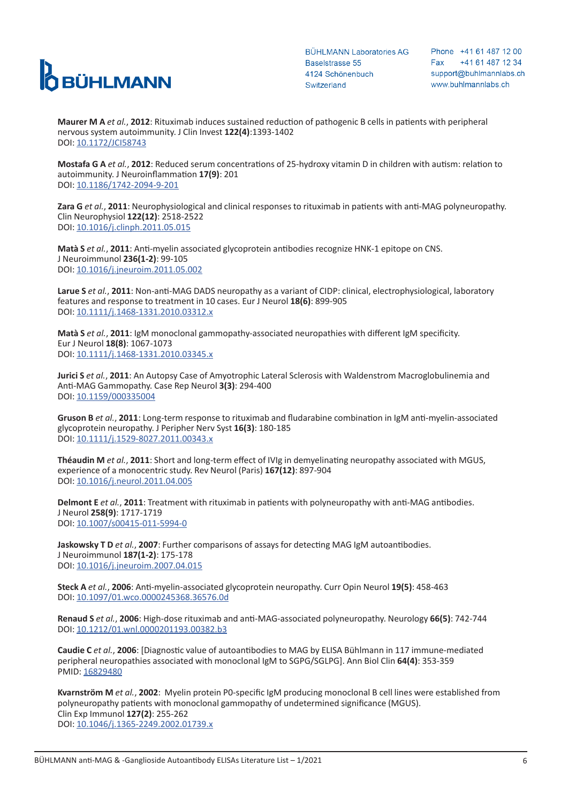

Phone +41 61 487 12 00 +41 61 487 12 34 Fax support@buhlmannlabs.ch www.buhlmannlabs.ch

**Maurer M A** *et al.*, **2012**: Rituximab induces sustained reduction of pathogenic B cells in patients with peripheral nervous system autoimmunity. J Clin Invest **122(4)**:1393-1402 DOI: [10.1172/JCI58743](https://www.jci.org/articles/view/58743)

**Mostafa G A** *et al.*, **2012**: Reduced serum concentrations of 25-hydroxy vitamin D in children with autism: relation to autoimmunity. J Neuroinflammation **17(9)**: 201 DOI: [10.1186/1742-2094-9-201](https://jneuroinflammation.biomedcentral.com/articles/10.1186/1742-2094-9-201)

**Zara G** *et al.*, **2011**: Neurophysiological and clinical responses to rituximab in patients with anti-MAG polyneuropathy. Clin Neurophysiol **122(12)**: 2518-2522 DOI: [10.1016/j.clinph.2011.05.015](https://www.sciencedirect.com/science/article/pii/S138824571100366X?via%3Dihub)

**Matà S** *et al.*, **2011**: Anti-myelin associated glycoprotein antibodies recognize HNK-1 epitope on CNS. J Neuroimmunol **236(1-2)**: 99-105 DOI: [10.1016/j.jneuroim.2011.05.002](https://www.sciencedirect.com/science/article/pii/S0165572811001317?via%3Dihub)

**Larue S** *et al.*, **2011**: Non-anti-MAG DADS neuropathy as a variant of CIDP: clinical, electrophysiological, laboratory features and response to treatment in 10 cases. Eur J Neurol **18(6)**: 899-905 DOI: [10.1111/j.1468-1331.2010.03312.x](https://onlinelibrary.wiley.com/doi/abs/10.1111/j.1468-1331.2010.03312.x)

**Matà S** *et al.*, **2011**: IgM monoclonal gammopathy-associated neuropathies with different IgM specificity. Eur J Neurol **18(8)**: 1067-1073 DOI: [10.1111/j.1468-1331.2010.03345.x](https://onlinelibrary.wiley.com/doi/abs/10.1111/j.1468-1331.2010.03345.x)

**Jurici S** *et al.*, **2011**: An Autopsy Case of Amyotrophic Lateral Sclerosis with Waldenstrom Macroglobulinemia and Anti-MAG Gammopathy. Case Rep Neurol **3(3)**: 294-400 DOI: [10.1159/000335004](https://www.karger.com/Article/Abstract/335004)

**Gruson B** *et al.*, **2011**: Long-term response to rituximab and fludarabine combination in IgM anti-myelin-associated glycoprotein neuropathy. J Peripher Nerv Syst **16(3)**: 180-185 DOI: [10.1111/j.1529-8027.2011.00343.x](https://onlinelibrary.wiley.com/doi/full/10.1111/j.1529-8027.2011.00343.x)

**Théaudin M** *et al.*, **2011**: Short and long-term effect of IVIg in demyelinating neuropathy associated with MGUS, experience of a monocentric study. Rev Neurol (Paris) **167(12)**: 897-904 DOI: [10.1016/j.neurol.2011.04.005](https://www.sciencedirect.com/science/article/pii/S0035378711003535?via%3Dihub)

**Delmont E** *et al.*, **2011**: Treatment with rituximab in patients with polyneuropathy with anti-MAG antibodies. J Neurol **258(9)**: 1717-1719 DOI: [10.1007/s00415-011-5994-0](https://link.springer.com/article/10.1007%2Fs00415-011-5994-0)

**Jaskowsky T D** *et al.*, **2007**: Further comparisons of assays for detecting MAG IgM autoantibodies. J Neuroimmunol **187(1-2)**: 175-178 DOI: [10.1016/j.jneuroim.2007.04.015](https://www.sciencedirect.com/science/article/pii/S0165572807001361?via%3Dihub)

**Steck A** *et al.*, **2006**: Anti-myelin-associated glycoprotein neuropathy. Curr Opin Neurol **19(5)**: 458-463 DOI: [10.1097/01.wco.0000245368.36576.0d](https://journals.lww.com/co-neurology/Abstract/2006/10000/Anti_myelin_associated_glycoprotein_neuropathy.6.aspx)

**Renaud S** *et al.*, **2006**: High-dose rituximab and anti-MAG-associated polyneuropathy. Neurology **66(5)**: 742-744 DOI: [10.1212/01.wnl.0000201193.00382.b3](https://n.neurology.org/content/66/5/742)

**Caudie C** *et al.*, **2006**: [Diagnostic value of autoantibodies to MAG by ELISA Bühlmann in 117 immune-mediated peripheral neuropathies associated with monoclonal IgM to SGPG/SGLPG]. Ann Biol Clin **64(4)**: 353-359 PMID: [16829480](https://pubmed.ncbi.nlm.nih.gov/16829480/)

**Kvarnström M** *et al.*, **2002**: Myelin protein P0-specific IgM producing monoclonal B cell lines were established from polyneuropathy patients with monoclonal gammopathy of undetermined significance (MGUS). Clin Exp Immunol **127(2)**: 255-262 DOI: [10.1046/j.1365-2249.2002.01739.x](https://onlinelibrary.wiley.com/doi/full/10.1046/j.1365-2249.2002.01739.x)